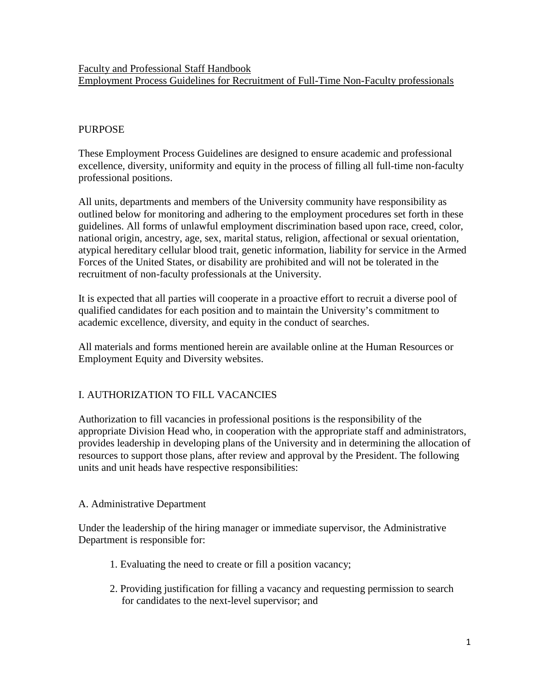## Faculty and Professional Staff Handbook Employment Process Guidelines for Recruitment of Full-Time Non-Faculty professionals

# PURPOSE

These Employment Process Guidelines are designed to ensure academic and professional excellence, diversity, uniformity and equity in the process of filling all full-time non-faculty professional positions.

All units, departments and members of the University community have responsibility as outlined below for monitoring and adhering to the employment procedures set forth in these guidelines. All forms of unlawful employment discrimination based upon race, creed, color, national origin, ancestry, age, sex, marital status, religion, affectional or sexual orientation, atypical hereditary cellular blood trait, genetic information, liability for service in the Armed Forces of the United States, or disability are prohibited and will not be tolerated in the recruitment of non-faculty professionals at the University.

It is expected that all parties will cooperate in a proactive effort to recruit a diverse pool of qualified candidates for each position and to maintain the University's commitment to academic excellence, diversity, and equity in the conduct of searches.

All materials and forms mentioned herein are available online at the Human Resources or Employment Equity and Diversity websites.

### I. AUTHORIZATION TO FILL VACANCIES

Authorization to fill vacancies in professional positions is the responsibility of the appropriate Division Head who, in cooperation with the appropriate staff and administrators, provides leadership in developing plans of the University and in determining the allocation of resources to support those plans, after review and approval by the President. The following units and unit heads have respective responsibilities:

### A. Administrative Department

Under the leadership of the hiring manager or immediate supervisor, the Administrative Department is responsible for:

- 1. Evaluating the need to create or fill a position vacancy;
- 2. Providing justification for filling a vacancy and requesting permission to search for candidates to the next-level supervisor; and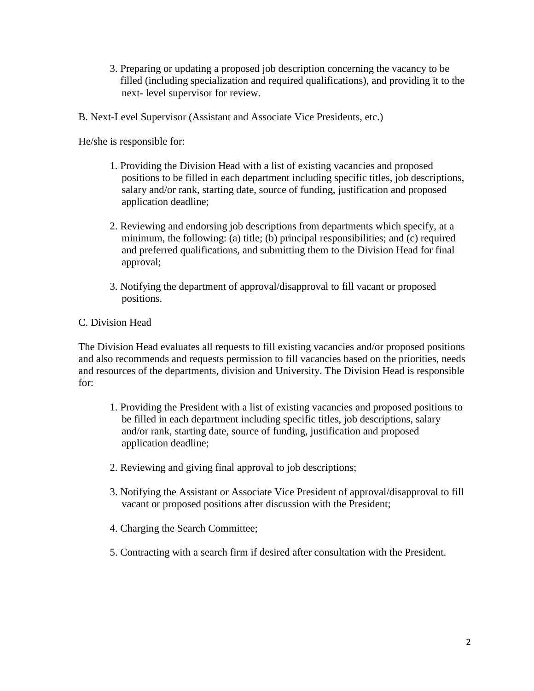- 3. Preparing or updating a proposed job description concerning the vacancy to be filled (including specialization and required qualifications), and providing it to the next- level supervisor for review.
- B. Next-Level Supervisor (Assistant and Associate Vice Presidents, etc.)

He/she is responsible for:

- 1. Providing the Division Head with a list of existing vacancies and proposed positions to be filled in each department including specific titles, job descriptions, salary and/or rank, starting date, source of funding, justification and proposed application deadline;
- 2. Reviewing and endorsing job descriptions from departments which specify, at a minimum, the following: (a) title; (b) principal responsibilities; and (c) required and preferred qualifications, and submitting them to the Division Head for final approval;
- 3. Notifying the department of approval/disapproval to fill vacant or proposed positions.

### C. Division Head

The Division Head evaluates all requests to fill existing vacancies and/or proposed positions and also recommends and requests permission to fill vacancies based on the priorities, needs and resources of the departments, division and University. The Division Head is responsible for:

- 1. Providing the President with a list of existing vacancies and proposed positions to be filled in each department including specific titles, job descriptions, salary and/or rank, starting date, source of funding, justification and proposed application deadline;
- 2. Reviewing and giving final approval to job descriptions;
- 3. Notifying the Assistant or Associate Vice President of approval/disapproval to fill vacant or proposed positions after discussion with the President;
- 4. Charging the Search Committee;
- 5. Contracting with a search firm if desired after consultation with the President.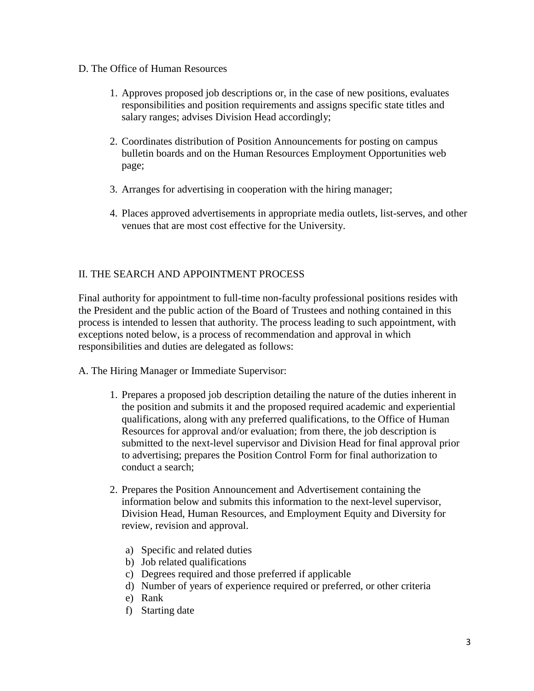#### D. The Office of Human Resources

- 1. Approves proposed job descriptions or, in the case of new positions, evaluates responsibilities and position requirements and assigns specific state titles and salary ranges; advises Division Head accordingly;
- 2. Coordinates distribution of Position Announcements for posting on campus bulletin boards and on the Human Resources Employment Opportunities web page;
- 3. Arranges for advertising in cooperation with the hiring manager;
- 4. Places approved advertisements in appropriate media outlets, list-serves, and other venues that are most cost effective for the University.

### II. THE SEARCH AND APPOINTMENT PROCESS

Final authority for appointment to full-time non-faculty professional positions resides with the President and the public action of the Board of Trustees and nothing contained in this process is intended to lessen that authority. The process leading to such appointment, with exceptions noted below, is a process of recommendation and approval in which responsibilities and duties are delegated as follows:

A. The Hiring Manager or Immediate Supervisor:

- 1. Prepares a proposed job description detailing the nature of the duties inherent in the position and submits it and the proposed required academic and experiential qualifications, along with any preferred qualifications, to the Office of Human Resources for approval and/or evaluation; from there, the job description is submitted to the next-level supervisor and Division Head for final approval prior to advertising; prepares the Position Control Form for final authorization to conduct a search;
- 2. Prepares the Position Announcement and Advertisement containing the information below and submits this information to the next-level supervisor, Division Head, Human Resources, and Employment Equity and Diversity for review, revision and approval.
	- a) Specific and related duties
	- b) Job related qualifications
	- c) Degrees required and those preferred if applicable
	- d) Number of years of experience required or preferred, or other criteria
	- e) Rank
	- f) Starting date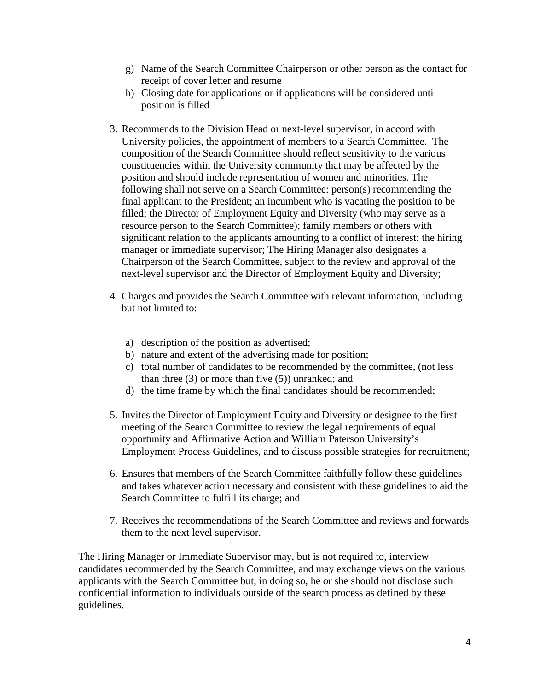- g) Name of the Search Committee Chairperson or other person as the contact for receipt of cover letter and resume
- h) Closing date for applications or if applications will be considered until position is filled
- 3. Recommends to the Division Head or next-level supervisor, in accord with University policies, the appointment of members to a Search Committee. The composition of the Search Committee should reflect sensitivity to the various constituencies within the University community that may be affected by the position and should include representation of women and minorities. The following shall not serve on a Search Committee: person(s) recommending the final applicant to the President; an incumbent who is vacating the position to be filled; the Director of Employment Equity and Diversity (who may serve as a resource person to the Search Committee); family members or others with significant relation to the applicants amounting to a conflict of interest; the hiring manager or immediate supervisor; The Hiring Manager also designates a Chairperson of the Search Committee, subject to the review and approval of the next-level supervisor and the Director of Employment Equity and Diversity;
- 4. Charges and provides the Search Committee with relevant information, including but not limited to:
	- a) description of the position as advertised;
	- b) nature and extent of the advertising made for position;
	- c) total number of candidates to be recommended by the committee, (not less than three (3) or more than five (5)) unranked; and
	- d) the time frame by which the final candidates should be recommended;
- 5. Invites the Director of Employment Equity and Diversity or designee to the first meeting of the Search Committee to review the legal requirements of equal opportunity and Affirmative Action and William Paterson University's Employment Process Guidelines, and to discuss possible strategies for recruitment;
- 6. Ensures that members of the Search Committee faithfully follow these guidelines and takes whatever action necessary and consistent with these guidelines to aid the Search Committee to fulfill its charge; and
- 7. Receives the recommendations of the Search Committee and reviews and forwards them to the next level supervisor.

The Hiring Manager or Immediate Supervisor may, but is not required to, interview candidates recommended by the Search Committee, and may exchange views on the various applicants with the Search Committee but, in doing so, he or she should not disclose such confidential information to individuals outside of the search process as defined by these guidelines.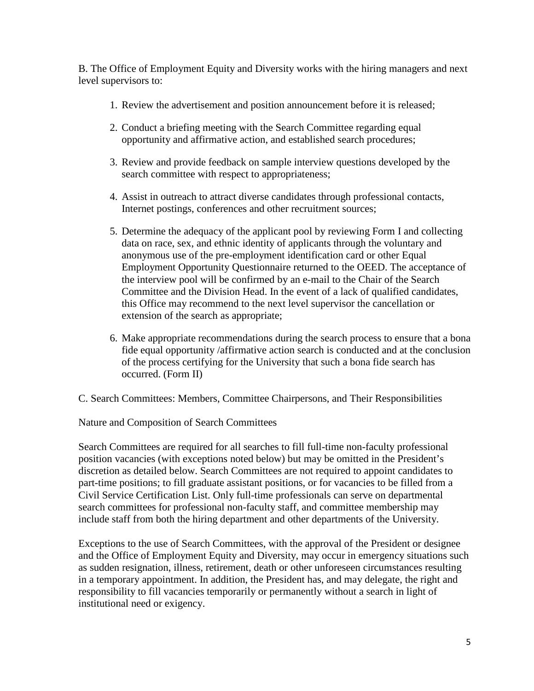B. The Office of Employment Equity and Diversity works with the hiring managers and next level supervisors to:

- 1. Review the advertisement and position announcement before it is released;
- 2. Conduct a briefing meeting with the Search Committee regarding equal opportunity and affirmative action, and established search procedures;
- 3. Review and provide feedback on sample interview questions developed by the search committee with respect to appropriateness;
- 4. Assist in outreach to attract diverse candidates through professional contacts, Internet postings, conferences and other recruitment sources;
- 5. Determine the adequacy of the applicant pool by reviewing Form I and collecting data on race, sex, and ethnic identity of applicants through the voluntary and anonymous use of the pre-employment identification card or other Equal Employment Opportunity Questionnaire returned to the OEED. The acceptance of the interview pool will be confirmed by an e-mail to the Chair of the Search Committee and the Division Head. In the event of a lack of qualified candidates, this Office may recommend to the next level supervisor the cancellation or extension of the search as appropriate;
- 6. Make appropriate recommendations during the search process to ensure that a bona fide equal opportunity /affirmative action search is conducted and at the conclusion of the process certifying for the University that such a bona fide search has occurred. (Form II)
- C. Search Committees: Members, Committee Chairpersons, and Their Responsibilities

Nature and Composition of Search Committees

Search Committees are required for all searches to fill full-time non-faculty professional position vacancies (with exceptions noted below) but may be omitted in the President's discretion as detailed below. Search Committees are not required to appoint candidates to part-time positions; to fill graduate assistant positions, or for vacancies to be filled from a Civil Service Certification List. Only full-time professionals can serve on departmental search committees for professional non-faculty staff, and committee membership may include staff from both the hiring department and other departments of the University.

Exceptions to the use of Search Committees, with the approval of the President or designee and the Office of Employment Equity and Diversity, may occur in emergency situations such as sudden resignation, illness, retirement, death or other unforeseen circumstances resulting in a temporary appointment. In addition, the President has, and may delegate, the right and responsibility to fill vacancies temporarily or permanently without a search in light of institutional need or exigency.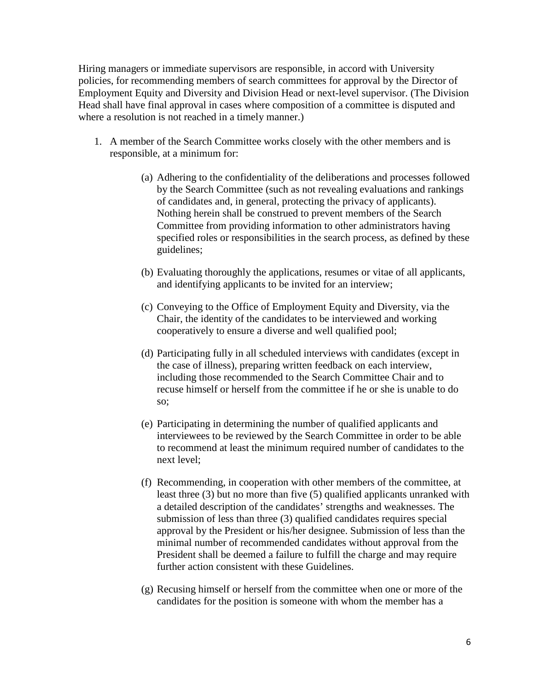Hiring managers or immediate supervisors are responsible, in accord with University policies, for recommending members of search committees for approval by the Director of Employment Equity and Diversity and Division Head or next-level supervisor. (The Division Head shall have final approval in cases where composition of a committee is disputed and where a resolution is not reached in a timely manner.)

- 1. A member of the Search Committee works closely with the other members and is responsible, at a minimum for:
	- (a) Adhering to the confidentiality of the deliberations and processes followed by the Search Committee (such as not revealing evaluations and rankings of candidates and, in general, protecting the privacy of applicants). Nothing herein shall be construed to prevent members of the Search Committee from providing information to other administrators having specified roles or responsibilities in the search process, as defined by these guidelines;
	- (b) Evaluating thoroughly the applications, resumes or vitae of all applicants, and identifying applicants to be invited for an interview;
	- (c) Conveying to the Office of Employment Equity and Diversity, via the Chair, the identity of the candidates to be interviewed and working cooperatively to ensure a diverse and well qualified pool;
	- (d) Participating fully in all scheduled interviews with candidates (except in the case of illness), preparing written feedback on each interview, including those recommended to the Search Committee Chair and to recuse himself or herself from the committee if he or she is unable to do so;
	- (e) Participating in determining the number of qualified applicants and interviewees to be reviewed by the Search Committee in order to be able to recommend at least the minimum required number of candidates to the next level;
	- (f) Recommending, in cooperation with other members of the committee, at least three (3) but no more than five (5) qualified applicants unranked with a detailed description of the candidates' strengths and weaknesses. The submission of less than three (3) qualified candidates requires special approval by the President or his/her designee. Submission of less than the minimal number of recommended candidates without approval from the President shall be deemed a failure to fulfill the charge and may require further action consistent with these Guidelines.
	- (g) Recusing himself or herself from the committee when one or more of the candidates for the position is someone with whom the member has a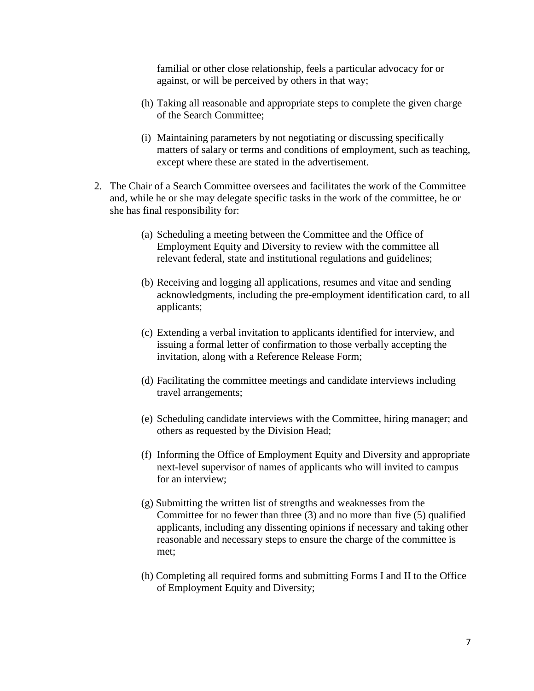familial or other close relationship, feels a particular advocacy for or against, or will be perceived by others in that way;

- (h) Taking all reasonable and appropriate steps to complete the given charge of the Search Committee;
- (i) Maintaining parameters by not negotiating or discussing specifically matters of salary or terms and conditions of employment, such as teaching, except where these are stated in the advertisement.
- 2. The Chair of a Search Committee oversees and facilitates the work of the Committee and, while he or she may delegate specific tasks in the work of the committee, he or she has final responsibility for:
	- (a) Scheduling a meeting between the Committee and the Office of Employment Equity and Diversity to review with the committee all relevant federal, state and institutional regulations and guidelines;
	- (b) Receiving and logging all applications, resumes and vitae and sending acknowledgments, including the pre-employment identification card, to all applicants;
	- (c) Extending a verbal invitation to applicants identified for interview, and issuing a formal letter of confirmation to those verbally accepting the invitation, along with a Reference Release Form;
	- (d) Facilitating the committee meetings and candidate interviews including travel arrangements;
	- (e) Scheduling candidate interviews with the Committee, hiring manager; and others as requested by the Division Head;
	- (f) Informing the Office of Employment Equity and Diversity and appropriate next-level supervisor of names of applicants who will invited to campus for an interview;
	- (g) Submitting the written list of strengths and weaknesses from the Committee for no fewer than three (3) and no more than five (5) qualified applicants, including any dissenting opinions if necessary and taking other reasonable and necessary steps to ensure the charge of the committee is met;
	- (h) Completing all required forms and submitting Forms I and II to the Office of Employment Equity and Diversity;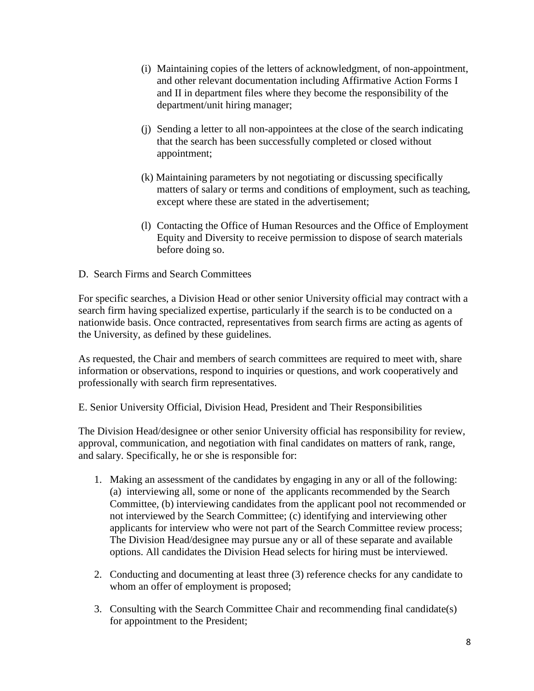- (i) Maintaining copies of the letters of acknowledgment, of non-appointment, and other relevant documentation including Affirmative Action Forms I and II in department files where they become the responsibility of the department/unit hiring manager;
- (j) Sending a letter to all non-appointees at the close of the search indicating that the search has been successfully completed or closed without appointment;
- (k) Maintaining parameters by not negotiating or discussing specifically matters of salary or terms and conditions of employment, such as teaching, except where these are stated in the advertisement;
- (l) Contacting the Office of Human Resources and the Office of Employment Equity and Diversity to receive permission to dispose of search materials before doing so.
- D. Search Firms and Search Committees

For specific searches, a Division Head or other senior University official may contract with a search firm having specialized expertise, particularly if the search is to be conducted on a nationwide basis. Once contracted, representatives from search firms are acting as agents of the University, as defined by these guidelines.

As requested, the Chair and members of search committees are required to meet with, share information or observations, respond to inquiries or questions, and work cooperatively and professionally with search firm representatives.

E. Senior University Official, Division Head, President and Their Responsibilities

The Division Head/designee or other senior University official has responsibility for review, approval, communication, and negotiation with final candidates on matters of rank, range, and salary. Specifically, he or she is responsible for:

- 1. Making an assessment of the candidates by engaging in any or all of the following: (a) interviewing all, some or none of the applicants recommended by the Search Committee, (b) interviewing candidates from the applicant pool not recommended or not interviewed by the Search Committee; (c) identifying and interviewing other applicants for interview who were not part of the Search Committee review process; The Division Head/designee may pursue any or all of these separate and available options. All candidates the Division Head selects for hiring must be interviewed.
- 2. Conducting and documenting at least three (3) reference checks for any candidate to whom an offer of employment is proposed;
- 3. Consulting with the Search Committee Chair and recommending final candidate(s) for appointment to the President;